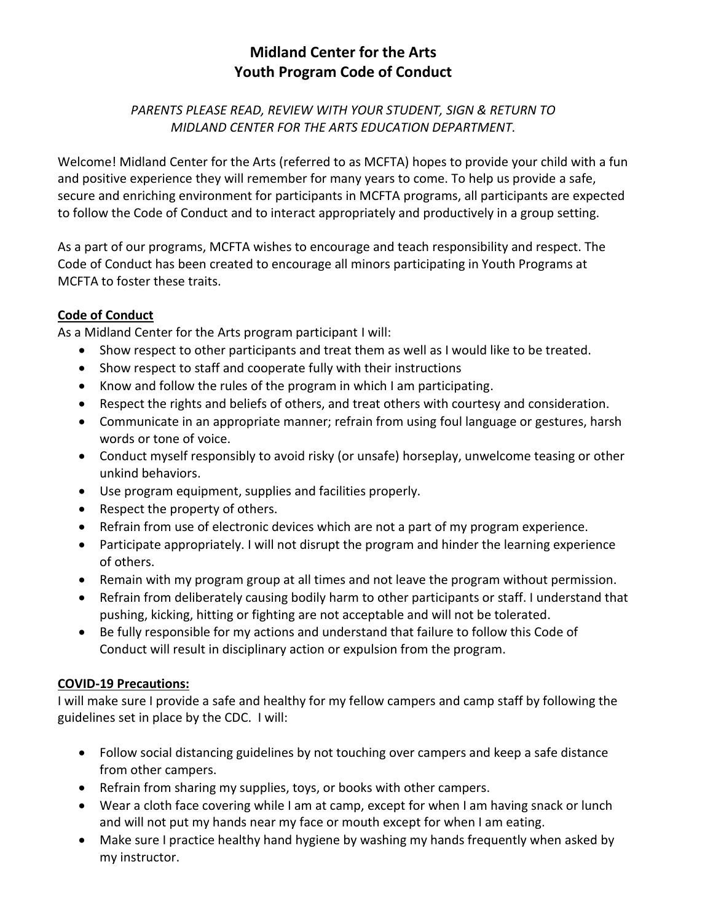# **Midland Center for the Arts Youth Program Code of Conduct**

### *PARENTS PLEASE READ, REVIEW WITH YOUR STUDENT, SIGN & RETURN TO MIDLAND CENTER FOR THE ARTS EDUCATION DEPARTMENT.*

Welcome! Midland Center for the Arts (referred to as MCFTA) hopes to provide your child with a fun and positive experience they will remember for many years to come. To help us provide a safe, secure and enriching environment for participants in MCFTA programs, all participants are expected to follow the Code of Conduct and to interact appropriately and productively in a group setting.

As a part of our programs, MCFTA wishes to encourage and teach responsibility and respect. The Code of Conduct has been created to encourage all minors participating in Youth Programs at MCFTA to foster these traits.

### **Code of Conduct**

As a Midland Center for the Arts program participant I will:

- Show respect to other participants and treat them as well as I would like to be treated.
- Show respect to staff and cooperate fully with their instructions
- Know and follow the rules of the program in which I am participating.
- Respect the rights and beliefs of others, and treat others with courtesy and consideration.
- Communicate in an appropriate manner; refrain from using foul language or gestures, harsh words or tone of voice.
- Conduct myself responsibly to avoid risky (or unsafe) horseplay, unwelcome teasing or other unkind behaviors.
- Use program equipment, supplies and facilities properly.
- Respect the property of others.
- Refrain from use of electronic devices which are not a part of my program experience.
- Participate appropriately. I will not disrupt the program and hinder the learning experience of others.
- Remain with my program group at all times and not leave the program without permission.
- Refrain from deliberately causing bodily harm to other participants or staff. I understand that pushing, kicking, hitting or fighting are not acceptable and will not be tolerated.
- Be fully responsible for my actions and understand that failure to follow this Code of Conduct will result in disciplinary action or expulsion from the program.

## **COVID-19 Precautions:**

I will make sure I provide a safe and healthy for my fellow campers and camp staff by following the guidelines set in place by the CDC. I will:

- Follow social distancing guidelines by not touching over campers and keep a safe distance from other campers.
- Refrain from sharing my supplies, toys, or books with other campers.
- Wear a cloth face covering while I am at camp, except for when I am having snack or lunch and will not put my hands near my face or mouth except for when I am eating.
- Make sure I practice healthy hand hygiene by washing my hands frequently when asked by my instructor.